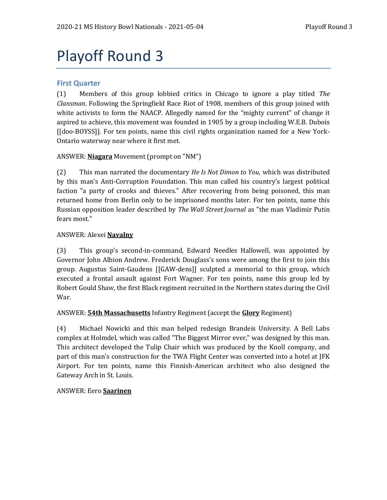# Playoff Round 3

## **First Quarter**

(1) Members of this group lobbied critics in Chicago to ignore a play titled *The Clansman*. Following the Springfield Race Riot of 1908, members of this group joined with white activists to form the NAACP. Allegedly named for the "mighty current" of change it aspired to achieve, this movement was founded in 1905 by a group including W.E.B. Dubois [[doo-BOYSS]]. For ten points, name this civil rights organization named for a New York-Ontario waterway near where it first met.

## ANSWER: **Niagara** Movement (prompt on "NM")

(2) This man narrated the documentary *He Is Not Dimon to You*, which was distributed by this man's Anti-Corruption Foundation. This man called his country's largest political faction "a party of crooks and thieves." After recovering from being poisoned, this man returned home from Berlin only to be imprisoned months later. For ten points, name this Russian opposition leader described by *The Wall Street Journal* as "the man Vladimir Putin fears most."

#### ANSWER: Alexei **Navalny**

(3) This group's second-in-command, Edward Needles Hallowell, was appointed by Governor John Albion Andrew. Frederick Douglass's sons were among the first to join this group. Augustus Saint-Gaudens [[GAW-dens]] sculpted a memorial to this group, which executed a frontal assault against Fort Wagner. For ten points, name this group led by Robert Gould Shaw, the first Black regiment recruited in the Northern states during the Civil War.

#### ANSWER: **54th Massachusetts** Infantry Regiment (accept the **Glory** Regiment)

(4) Michael Nowicki and this man helped redesign Brandeis University. A Bell Labs complex at Holmdel, which was called "The Biggest Mirror ever," was designed by this man. This architect developed the Tulip Chair which was produced by the Knoll company, and part of this man's construction for the TWA Flight Center was converted into a hotel at JFK Airport. For ten points, name this Finnish-American architect who also designed the Gateway Arch in St. Louis.

#### ANSWER: Eero **Saarinen**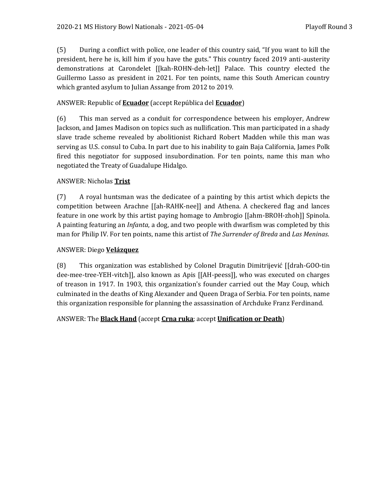(5) During a conflict with police, one leader of this country said, "If you want to kill the president, here he is, kill him if you have the guts." This country faced 2019 anti-austerity demonstrations at Carondelet [[kah-ROHN-deh-let]] Palace. This country elected the Guillermo Lasso as president in 2021. For ten points, name this South American country which granted asylum to Julian Assange from 2012 to 2019.

# ANSWER: Republic of **Ecuador** (accept República del **Ecuador**)

(6) This man served as a conduit for correspondence between his employer, Andrew Jackson, and James Madison on topics such as nullification. This man participated in a shady slave trade scheme revealed by abolitionist Richard Robert Madden while this man was serving as U.S. consul to Cuba. In part due to his inability to gain Baja California, James Polk fired this negotiator for supposed insubordination. For ten points, name this man who negotiated the Treaty of Guadalupe Hidalgo.

## ANSWER: Nicholas **Trist**

(7) A royal huntsman was the dedicatee of a painting by this artist which depicts the competition between Arachne [[ah-RAHK-nee]] and Athena. A checkered flag and lances feature in one work by this artist paying homage to Ambrogio [[ahm-BROH-zhoh]] Spinola. A painting featuring an *Infanta*, a dog, and two people with dwarfism was completed by this man for Philip IV. For ten points, name this artist of *The Surrender of Breda* and *Las Meninas*.

#### ANSWER: Diego **Velázquez**

(8) This organization was established by Colonel Dragutin Dimitrijević [[drah-GOO-tin dee-mee-tree-YEH-vitch]], also known as Apis [[AH-peess]], who was executed on charges of treason in 1917. In 1903, this organization's founder carried out the May Coup, which culminated in the deaths of King Alexander and Queen Draga of Serbia. For ten points, name this organization responsible for planning the assassination of Archduke Franz Ferdinand.

#### ANSWER: The **Black Hand** (accept **Crna ruka**; accept **Unification or Death**)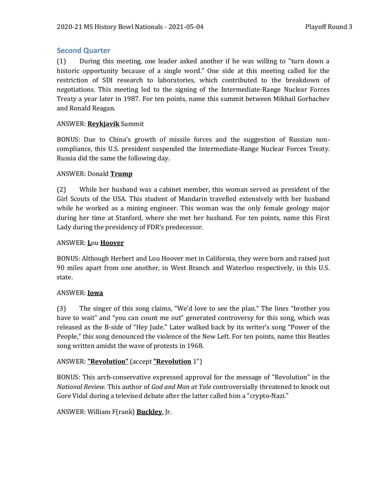# **Second Quarter**

(1) During this meeting, one leader asked another if he was willing to "turn down a historic opportunity because of a single word." One side at this meeting called for the restriction of SDI research to laboratories, which contributed to the breakdown of negotiations. This meeting led to the signing of the Intermediate-Range Nuclear Forces Treaty a year later in 1987. For ten points, name this summit between Mikhail Gorbachev and Ronald Reagan.

#### ANSWER: **Reykjavík** Summit

BONUS: Due to China's growth of missile forces and the suggestion of Russian noncompliance, this U.S. president suspended the Intermediate-Range Nuclear Forces Treaty. Russia did the same the following day.

#### ANSWER: Donald **Trump**

(2) While her husband was a cabinet member, this woman served as president of the Girl Scouts of the USA. This student of Mandarin travelled extensively with her husband while he worked as a mining engineer. This woman was the only female geology major during her time at Stanford, where she met her husband. For ten points, name this First Lady during the presidency of FDR's predecessor.

#### ANSWER: **L**ou **Hoover**

BONUS: Although Herbert and Lou Hoover met in California, they were born and raised just 90 miles apart from one another, in West Branch and Waterloo respectively, in this U.S. state.

#### ANSWER: **Iowa**

(3) The singer of this song claims, "We'd love to see the plan." The lines "brother you have to wait" and "you can count me out" generated controversy for this song, which was released as the B-side of "Hey Jude." Later walked back by its writer's song "Power of the People," this song denounced the violence of the New Left. For ten points, name this Beatles song written amidst the wave of protests in 1968.

#### ANSWER: **"Revolution"** (accept **"Revolution** 1")

BONUS: This arch-conservative expressed approval for the message of "Revolution" in the *National Review*. This author of *God and Man at Yale* controversially threatened to knock out Gore Vidal during a televised debate after the latter called him a "crypto-Nazi."

ANSWER: William F(rank) **Buckley**, Jr.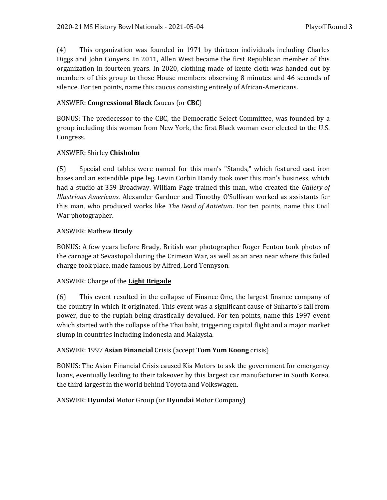(4) This organization was founded in 1971 by thirteen individuals including Charles Diggs and John Conyers. In 2011, Allen West became the first Republican member of this organization in fourteen years. In 2020, clothing made of kente cloth was handed out by members of this group to those House members observing 8 minutes and 46 seconds of silence. For ten points, name this caucus consisting entirely of African-Americans.

# ANSWER: **Congressional Black** Caucus (or **CBC**)

BONUS: The predecessor to the CBC, the Democratic Select Committee, was founded by a group including this woman from New York, the first Black woman ever elected to the U.S. Congress.

# ANSWER: Shirley **Chisholm**

(5) Special end tables were named for this man's "Stands," which featured cast iron bases and an extendible pipe leg. Levin Corbin Handy took over this man's business, which had a studio at 359 Broadway. William Page trained this man, who created the *Gallery of Illustrious Americans*. Alexander Gardner and Timothy O'Sullivan worked as assistants for this man, who produced works like *The Dead of Antietam*. For ten points, name this Civil War photographer.

# ANSWER: Mathew **Brady**

BONUS: A few years before Brady, British war photographer Roger Fenton took photos of the carnage at Sevastopol during the Crimean War, as well as an area near where this failed charge took place, made famous by Alfred, Lord Tennyson.

# ANSWER: Charge of the **Light Brigade**

(6) This event resulted in the collapse of Finance One, the largest finance company of the country in which it originated. This event was a significant cause of Suharto's fall from power, due to the rupiah being drastically devalued. For ten points, name this 1997 event which started with the collapse of the Thai baht, triggering capital flight and a major market slump in countries including Indonesia and Malaysia.

# ANSWER: 1997 **Asian Financial** Crisis (accept **Tom Yum Koong** crisis)

BONUS: The Asian Financial Crisis caused Kia Motors to ask the government for emergency loans, eventually leading to their takeover by this largest car manufacturer in South Korea, the third largest in the world behind Toyota and Volkswagen.

# ANSWER: **Hyundai** Motor Group (or **Hyundai** Motor Company)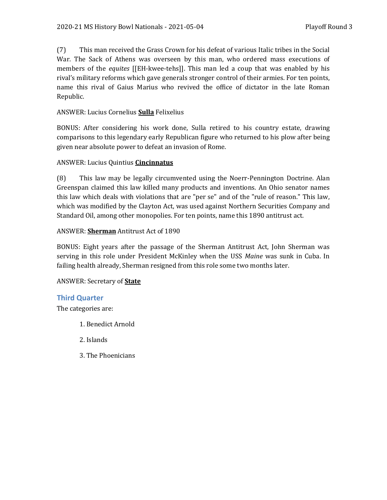(7) This man received the Grass Crown for his defeat of various Italic tribes in the Social War. The Sack of Athens was overseen by this man, who ordered mass executions of members of the *equites* [[EH-kwee-tehs]]. This man led a coup that was enabled by his rival's military reforms which gave generals stronger control of their armies. For ten points, name this rival of Gaius Marius who revived the office of dictator in the late Roman Republic.

## ANSWER: Lucius Cornelius **Sulla** Felixelius

BONUS: After considering his work done, Sulla retired to his country estate, drawing comparisons to this legendary early Republican figure who returned to his plow after being given near absolute power to defeat an invasion of Rome.

#### ANSWER: Lucius Quintius **Cincinnatus**

(8) This law may be legally circumvented using the Noerr-Pennington Doctrine. Alan Greenspan claimed this law killed many products and inventions. An Ohio senator names this law which deals with violations that are "per se" and of the "rule of reason." This law, which was modified by the Clayton Act, was used against Northern Securities Company and Standard Oil, among other monopolies. For ten points, name this 1890 antitrust act.

## ANSWER: **Sherman** Antitrust Act of 1890

BONUS: Eight years after the passage of the Sherman Antitrust Act, John Sherman was serving in this role under President McKinley when the USS *Maine* was sunk in Cuba. In failing health already, Sherman resigned from this role some two months later.

ANSWER: Secretary of **State**

# **Third Quarter**

The categories are:

- 1. Benedict Arnold
- 2. Islands
- 3. The Phoenicians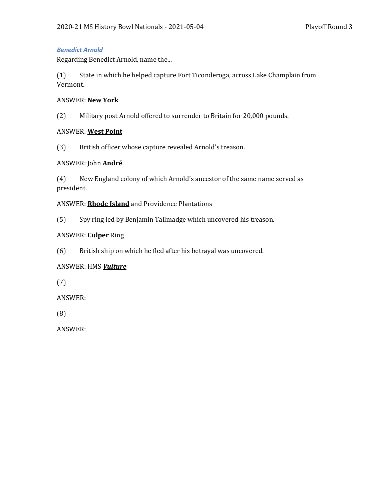#### *Benedict Arnold*

Regarding Benedict Arnold, name the...

(1) State in which he helped capture Fort Ticonderoga, across Lake Champlain from Vermont.

#### ANSWER: **New York**

(2) Military post Arnold offered to surrender to Britain for 20,000 pounds.

#### ANSWER: **West Point**

(3) British officer whose capture revealed Arnold's treason.

#### ANSWER: John **André**

(4) New England colony of which Arnold's ancestor of the same name served as president.

ANSWER: **Rhode Island** and Providence Plantations

(5) Spy ring led by Benjamin Tallmadge which uncovered his treason.

#### ANSWER: **Culper** Ring

(6) British ship on which he fled after his betrayal was uncovered.

#### ANSWER: HMS *Vulture*

(7)

ANSWER:

(8)

ANSWER: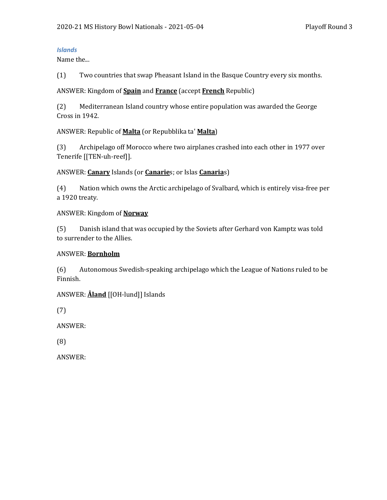#### *Islands*

Name the...

(1) Two countries that swap Pheasant Island in the Basque Country every six months.

## ANSWER: Kingdom of **Spain** and **France** (accept **French** Republic)

(2) Mediterranean Island country whose entire population was awarded the George Cross in 1942.

## ANSWER: Republic of **Malta** (or Repubblika ta' **Malta**)

(3) Archipelago off Morocco where two airplanes crashed into each other in 1977 over Tenerife [[TEN-uh-reef]].

#### ANSWER: **Canary** Islands (or **Canarie**s; or Islas **Canaria**s)

(4) Nation which owns the Arctic archipelago of Svalbard, which is entirely visa-free per a 1920 treaty.

## ANSWER: Kingdom of **Norway**

(5) Danish island that was occupied by the Soviets after Gerhard von Kamptz was told to surrender to the Allies.

### ANSWER: **Bornholm**

(6) Autonomous Swedish-speaking archipelago which the League of Nations ruled to be Finnish.

# ANSWER: **Åland** [[OH-lund]] Islands

(7)

ANSWER:

(8)

ANSWER: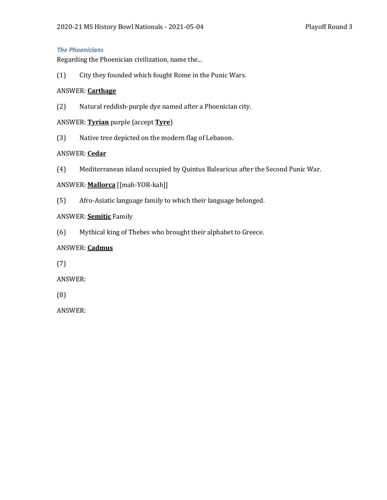#### *The Phoenicians*

Regarding the Phoenician civilization, name the...

(1) City they founded which fought Rome in the Punic Wars.

#### ANSWER: **Carthage**

(2) Natural reddish-purple dye named after a Phoenician city.

## ANSWER: **Tyrian** purple (accept **Tyre**)

(3) Native tree depicted on the modern flag of Lebanon.

#### ANSWER: **Cedar**

(4) Mediterranean island occupied by Quintus Balearicus after the Second Punic War.

#### ANSWER: **Mallorca** [[mah-YOR-kah]]

(5) Afro-Asiatic language family to which their language belonged.

#### ANSWER: **Semitic** Family

(6) Mythical king of Thebes who brought their alphabet to Greece.

#### ANSWER: **Cadmus**

(7)

ANSWER:

(8)

ANSWER: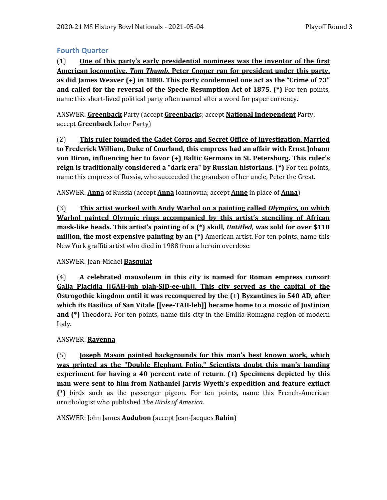# **Fourth Quarter**

(1) **One of this party's early presidential nominees was the inventor of the first American locomotive,** *Tom Thumb***. Peter Cooper ran for president under this party, as did James Weaver (+) in 1880. This party condemned one act as the "Crime of 73" and called for the reversal of the Specie Resumption Act of 1875. (\*)** For ten points, name this short-lived political party often named after a word for paper currency.

ANSWER: **Greenback** Party (accept **Greenback**s; accept **National Independent** Party; accept **Greenback** Labor Party)

(2) **This ruler founded the Cadet Corps and Secret Office of Investigation. Married to Frederick William, Duke of Courland, this empress had an affair with Ernst Johann von Biron, influencing her to favor (+) Baltic Germans in St. Petersburg. This ruler's reign is traditionally considered a "dark era" by Russian historians. (\*)** For ten points, name this empress of Russia, who succeeded the grandson of her uncle, Peter the Great.

ANSWER: **Anna** of Russia (accept **Anna** Ioannovna; accept **Anne** in place of **Anna**)

(3) **This artist worked with Andy Warhol on a painting called** *Olympics***, on which Warhol painted Olympic rings accompanied by this artist's stenciling of African mask-like heads. This artist's painting of a (\*) skull,** *Untitled***, was sold for over \$110 million, the most expensive painting by an (\*)** American artist. For ten points, name this New York graffiti artist who died in 1988 from a heroin overdose.

ANSWER: Jean-Michel **Basquiat**

(4) **A celebrated mausoleum in this city is named for Roman empress consort Galla Placidia [[GAH-luh plah-SID-ee-uh]]. This city served as the capital of the Ostrogothic kingdom until it was reconquered by the (+) Byzantines in 540 AD, after which its Basilica of San Vitale [[vee-TAH-leh]] became home to a mosaic of Justinian and (\*)** Theodora. For ten points, name this city in the Emilia-Romagna region of modern Italy.

#### ANSWER: **Ravenna**

(5) **Joseph Mason painted backgrounds for this man's best known work, which was printed as the "Double Elephant Folio." Scientists doubt this man's banding experiment for having a 40 percent rate of return. (+) Specimens depicted by this man were sent to him from Nathaniel Jarvis Wyeth's expedition and feature extinct (\*)** birds such as the passenger pigeon. For ten points, name this French-American ornithologist who published *The Birds of America*.

ANSWER: John James **Audubon** (accept Jean-Jacques **Rabin**)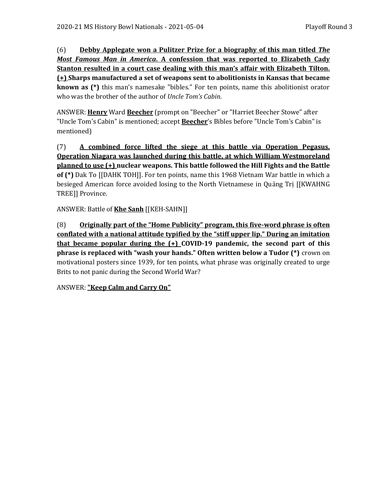(6) **Debby Applegate won a Pulitzer Prize for a biography of this man titled** *The Most Famous Man in America***. A confession that was reported to Elizabeth Cady Stanton resulted in a court case dealing with this man's affair with Elizabeth Tilton. (+) Sharps manufactured a set of weapons sent to abolitionists in Kansas that became known as (\*)** this man's namesake "bibles." For ten points, name this abolitionist orator who was the brother of the author of *Uncle Tom's Cabin*.

ANSWER: **Henry** Ward **Beecher** (prompt on "Beecher" or "Harriet Beecher Stowe" after "Uncle Tom's Cabin" is mentioned; accept **Beecher**'s Bibles before "Uncle Tom's Cabin" is mentioned)

(7) **A combined force lifted the siege at this battle via Operation Pegasus. Operation Niagara was launched during this battle, at which William Westmoreland planned to use (+) nuclear weapons. This battle followed the Hill Fights and the Battle of (\*)** Dak To [[DAHK TOH]]. For ten points, name this 1968 Vietnam War battle in which a besieged American force avoided losing to the North Vietnamese in Quảng Trị [[KWAHNG TREE]] Province.

ANSWER: Battle of **Khe Sanh** [[KEH-SAHN]]

(8) **Originally part of the "Home Publicity" program, this five-word phrase is often conflated with a national attitude typified by the "stiff upper lip." During an imitation that became popular during the (+) COVID-19 pandemic, the second part of this phrase is replaced with "wash your hands." Often written below a Tudor (\*)** crown on motivational posters since 1939, for ten points, what phrase was originally created to urge Brits to not panic during the Second World War?

ANSWER: **"Keep Calm and Carry On"**